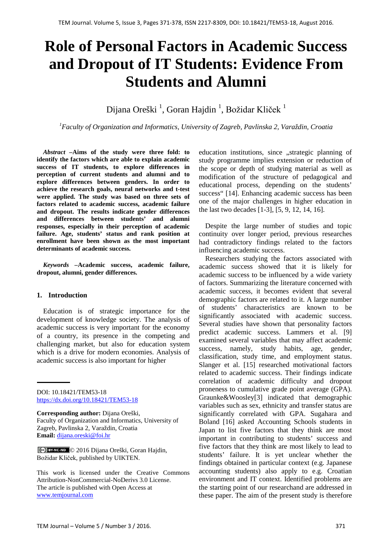# **Role of Personal Factors in Academic Success and Dropout of IT Students: Evidence From Students and Alumni**

Dijana Oreški <sup>1</sup>, Goran Hajdin <sup>1</sup>, Božidar Kliček <sup>1</sup>

*1 Faculty of Organization and Informatics, University of Zagreb, Pavlinska 2, Varaždin, Croatia* 

*Abstract –***Aims of the study were three fold: to identify the factors which are able to explain academic success of IT students, to explore differences in perception of current students and alumni and to explore differences between genders. In order to achieve the research goals, neural networks and t-test were applied. The study was based on three sets of factors related to academic success, academic failure and dropout. The results indicate gender differences and differences between students' and alumni responses, especially in their perception of academic failure. Age, students' status and rank position at enrollment have been shown as the most important determinants of academic success.**

*Keywords –***Academic success, academic failure, dropout, alumni, gender differences.**

#### **1. Introduction**

Education is of strategic importance for the development of knowledge society. The analysis of academic success is very important for the economy of a country, its presence in the competing and challenging market, but also for education system which is a drive for modern economies. Analysis of academic success is also important for higher

DOI: 10.18421/TEM53-18 <https://dx.doi.org/10.18421/TEM53-18>

**Corresponding author:** Dijana Oreški, Faculty of Organization and Informatics, University of Zagreb, Pavlinska 2, Varaždin, Croatia **Email:** dijana.oreski@foi.hr

© 2016 Dijana Oreški, Goran Hajdin, Božidar Kliček, published by UIKTEN.

This work is licensed under the Creative Commons Attribution-NonCommercial-NoDerivs 3.0 License. The article is published with Open Access at www.temjournal.com

education institutions, since "strategic planning of study programme implies extension or reduction of the scope or depth of studying material as well as modification of the structure of pedagogical and educational process, depending on the students' success" [14]. Enhancing academic success has been one of the major challenges in higher education in the last two decades [1-3], [5, 9, 12, 14, 16].

Despite the large number of studies and topic continuity over longer period, previous researches had contradictory findings related to the factors influencing academic success.

Researchers studying the factors associated with academic success showed that it is likely for academic success to be influenced by a wide variety of factors. Summarizing the literature concerned with academic success, it becomes evident that several demographic factors are related to it. A large number of students' characteristics are known to be significantly associated with academic success. Several studies have shown that personality factors predict academic success. Lammers et al. [9] examined several variables that may affect academic success, namely, study habits, age, gender, classification, study time, and employment status. Slanger et al. [15] researched motivational factors related to academic success. Their findings indicate correlation of academic difficulty and dropout proneness to cumulative grade point average (GPA). Graunke&Woosley[3] indicated that demographic variables such as sex, ethnicity and transfer status are significantly correlated with GPA. Sugahara and Boland [16] asked Accounting Schools students in Japan to list five factors that they think are most important in contributing to students' success and five factors that they think are most likely to lead to students' failure. It is yet unclear whether the findings obtained in particular context (e.g. Japanese accounting students) also apply to e.g. Croatian environment and IT context. Identified problems are the starting point of our researchand are addressed in these paper. The aim of the present study is therefore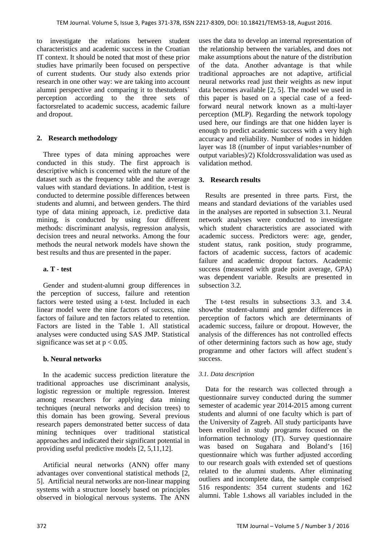to investigate the relations between student characteristics and academic success in the Croatian IT context. It should be noted that most of these prior studies have primarily been focused on perspective of current students. Our study also extends prior research in one other way: we are taking into account alumni perspective and comparing it to thestudents` perception according to the three sets of factorsrelated to academic success, academic failure and dropout.

# **2. Research methodology**

Three types of data mining approaches were conducted in this study. The first approach is descriptive which is concerned with the nature of the dataset such as the frequency table and the average values with standard deviations. In addition, t-test is conducted to determine possible differences between students and alumni, and between genders. The third type of data mining approach, i.e. predictive data mining, is conducted by using four different methods: discriminant analysis, regression analysis, decision trees and neural networks. Among the four methods the neural network models have shown the best results and thus are presented in the paper.

# **a. T - test**

Gender and student-alumni group differences in the perception of success, failure and retention factors were tested using a t-test. Included in each linear model were the nine factors of success, nine factors of failure and ten factors related to retention. Factors are listed in the Table 1. All statistical analyses were conducted using SAS JMP. Statistical significance was set at  $p < 0.05$ .

## **b. Neural networks**

In the academic success prediction literature the traditional approaches use discriminant analysis, logistic regression or multiple regression. Interest among researchers for applying data mining techniques (neural networks and decision trees) to this domain has been growing. Several previous research papers demonstrated better success of data mining techniques over traditional statistical approaches and indicated their significant potential in providing useful predictive models [2, 5,11,12].

Artificial neural networks (ANN) offer many advantages over conventional statistical methods [2, 5]. Artificial neural networks are non-linear mapping systems with a structure loosely based on principles observed in biological nervous systems. The ANN uses the data to develop an internal representation of the relationship between the variables, and does not make assumptions about the nature of the distribution of the data. Another advantage is that while traditional approaches are not adaptive, artificial neural networks read just their weights as new input data becomes available [2, 5]. The model we used in this paper is based on a special case of a feedforward neural network known as a multi-layer perception (MLP). Regarding the network topology used here, our findings are that one hidden layer is enough to predict academic success with a very high accuracy and reliability. Number of nodes in hidden layer was 18 ((number of input variables+number of output variables)/2) Kfoldcrossvalidation was used as validation method.

# **3. Research results**

Results are presented in three parts. First, the means and standard deviations of the variables used in the analyses are reported in subsection 3.1. Neural network analyses were conducted to investigate which student characteristics are associated with academic success. Predictors were: age, gender, student status, rank position, study programme, factors of academic success, factors of academic failure and academic dropout factors. Academic success (measured with grade point average, GPA) was dependent variable. Results are presented in subsection 3.2.

The t-test results in subsections 3.3. and 3.4. showthe student-alumni and gender differences in perception of factors which are determinants of academic success, failure or dropout. However, the analysis of the differences has not controlled effects of other determining factors such as how age, study programme and other factors will affect student`s success.

## *3.1. Data description*

Data for the research was collected through a questionnaire survey conducted during the summer semester of academic year 2014-2015 among current students and alumni of one faculty which is part of the University of Zagreb. All study participants have been enrolled in study programs focused on the information technology (IT). Survey questionnaire was based on Sugahara and Boland's [16] questionnaire which was further adjusted according to our research goals with extended set of questions related to the alumni students. After eliminating outliers and incomplete data, the sample comprised 516 respondents: 354 current students and 162 alumni. Table 1.shows all variables included in the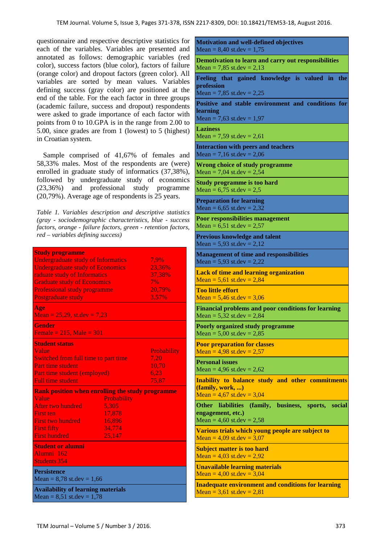**Motivation and well-defined objectives**

questionnaire and respective descriptive statistics for each of the variables. Variables are presented and annotated as follows: demographic variables (red color), success factors (blue color), factors of failure (orange color) and dropout factors (green color). All variables are sorted by mean values. Variables defining success (gray color) are positioned at the end of the table. For the each factor in three groups (academic failure, success and dropout) respondents were asked to grade importance of each factor with points from 0 to 10.GPA is in the range from 2.00 to 5.00, since grades are from 1 (lowest) to 5 (highest) in Croatian system.

Sample comprised of 41,67% of females and 58,33% males. Most of the respondents are (were) enrolled in graduate study of informatics (37,38%), followed by undergraduate study of economics (23,36%) and professional study programme (20,79%). Average age of respondents is 25 years.

*Table 1. Variables description and descriptive statistics (gray - sociodemographic characteristics, blue - success factors, orange - failure factors, green - retention factors, red – variables defining success)*

| <b>Study programme</b>                                  |             |                    |  |  |
|---------------------------------------------------------|-------------|--------------------|--|--|
| <b>Undergraduate study of Informatics</b>               |             | 7.9%               |  |  |
| <b>Undergraduate study of Economics</b>                 |             | 23,36%             |  |  |
| raduate study of Informatics                            |             | 37,38%             |  |  |
| <b>Graduate study of Economics</b>                      |             | 7%                 |  |  |
| <b>Professional study programme</b>                     |             | 20,79%             |  |  |
| Postgraduate study                                      |             | 3,57%              |  |  |
| Age<br>Mean = $25,29$ , st.dev = $7,23$                 |             |                    |  |  |
| <b>Gender</b>                                           |             |                    |  |  |
| Female = $215$ , Male = $301$                           |             |                    |  |  |
| <b>Student status</b>                                   |             |                    |  |  |
| Value                                                   |             | <b>Probability</b> |  |  |
| Switched from full time to part time                    | 7.20        |                    |  |  |
| <b>Part time student</b>                                |             | 10,70              |  |  |
| Part time student (employed)                            |             | 6,23               |  |  |
| <b>Full time student</b>                                |             | 75,87              |  |  |
| <b>Rank position when enrolling the study programme</b> |             |                    |  |  |
| Value                                                   | Probability |                    |  |  |
| After two hundred                                       | 5.305       |                    |  |  |
| <b>First ten</b>                                        | 17,878      |                    |  |  |
| <b>First two hundred</b>                                | 16,896      |                    |  |  |
| <b>First fifty</b>                                      | 34,774      |                    |  |  |
| <b>First hundred</b>                                    | 25,147      |                    |  |  |
| <b>Student or alumni</b>                                |             |                    |  |  |
| Alumni 162                                              |             |                    |  |  |
| <b>Students 354</b>                                     |             |                    |  |  |
| <b>Persistence</b><br>Mean = $8,78$ st.dev = $1,66$     |             |                    |  |  |
| <b>Availability of learning materials</b>               |             |                    |  |  |

 $Mean = 8,40$  st.dev = 1,75 **Demotivation to learn and carry out responsibilities** Mean = 7,85 st.dev =  $2,13$ **Feeling that gained knowledge is valued in the profession** Mean = 7,85 st.dev =  $2,25$ **Positive and stable environment and conditions for learning** Mean = 7,63 st.dev =  $1,97$ **Laziness** Mean = 7,59 st.dev =  $2,61$ **Interaction with peers and teachers** Mean = 7,16 st.dev =  $2,06$ **Wrong choice of study programme** Mean = 7,04 st.dev =  $2,54$ **Study programme is too hard** Mean =  $6,75$  st.dev =  $2,5$ **Preparation for learning** Mean =  $6,65$  st.dev =  $2,32$ **Poor responsibilities management** Mean =  $6,51$  st.dev =  $2,57$ **Previous knowledge and talent** Mean =  $5,93$  st.dev =  $2,12$ **Management of time and responsibilities** Mean =  $5,93$  st.dev =  $2,22$ **Lack of time and learning organization**  $Mean = 5.61$  st.dev = 2,84 **Too little effort** Mean =  $5,46$  st.dev =  $3,06$ **Financial problems and poor conditions for learning** Mean =  $5,32$  st.dev =  $2,84$ **Poorly organized study programme** Mean =  $5,00$  st.dev =  $2,85$ **Poor preparation for classes** Mean =  $4.98$  st.dev =  $2.57$ **Personal issues** Mean =  $4.96$  st.dev =  $2.62$ **Inability to balance study and other commitments (family, work, ...)** Mean =  $4,67$  st.dev =  $3,04$ **Other liabilities (family, business, sports, social engagement, etc.)** Mean =  $4,60$  st.dev =  $2,58$ **Various trials which young people are subject to** Mean =  $4,09$  st.dev =  $3,07$ **Subject matter is too hard** Mean =  $4,03$  st.dev =  $2,92$ **Unavailable learning materials**  $Mean = 4.00$  st.dev = 3.04 **Inadequate environment and conditions for learning**  $Mean = 3,61$  st.dev = 2,81

 $Mean = 8,51$  st.dev = 1,78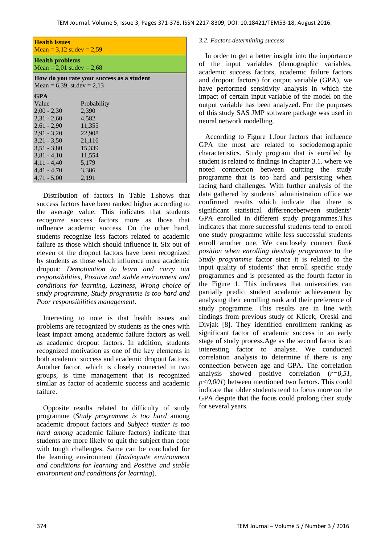| <b>Health issues</b><br>Mean = $3,12$ st.dev = $2,59$                        |             |  |  |  |  |
|------------------------------------------------------------------------------|-------------|--|--|--|--|
| <b>Health problems</b><br>Mean = 2,01 st.dev = $2,68$                        |             |  |  |  |  |
| How do you rate your success as a student<br>Mean = $6,39$ , st.dev = $2,13$ |             |  |  |  |  |
| <b>GPA</b>                                                                   |             |  |  |  |  |
| Value                                                                        | Probability |  |  |  |  |
| $2,00 - 2,30$                                                                | 2,390       |  |  |  |  |
| $2,31 - 2,60$                                                                | 4.582       |  |  |  |  |
| $2,61 - 2,90$                                                                | 11,355      |  |  |  |  |
| $2.91 - 3.20$                                                                | 22,908      |  |  |  |  |
| $3,21 - 3,50$                                                                | 21,116      |  |  |  |  |
| $3,51 - 3,80$                                                                | 15,339      |  |  |  |  |
| $3,81 - 4,10$                                                                | 11,554      |  |  |  |  |
| $4,11 - 4,40$                                                                | 5,179       |  |  |  |  |
| $4,41 - 4,70$                                                                | 3,386       |  |  |  |  |
| $4,71 - 5,00$                                                                | 2,191       |  |  |  |  |

Distribution of factors in Table 1.shows that success factors have been ranked higher according to the average value. This indicates that students recognize success factors more as those that influence academic success. On the other hand, students recognize less factors related to academic failure as those which should influence it. Six out of eleven of the dropout factors have been recognized by students as those which influence more academic dropout: *Demotivation to learn and carry out responsibilities, Positive and stable environment and conditions for learning, Laziness, Wrong choice of study programme, Study programme is too hard and Poor responsibilities management*.

Interesting to note is that health issues and problems are recognized by students as the ones with least impact among academic failure factors as well as academic dropout factors. In addition, students recognized motivation as one of the key elements in both academic success and academic dropout factors. Another factor, which is closely connected in two groups, is time management that is recognized similar as factor of academic success and academic failure.

Opposite results related to difficulty of study programme (*Study programme is too hard* among academic dropout factors and *Subject matter is too hard among* academic failure factors) indicate that students are more likely to quit the subject than cope with tough challenges. Same can be concluded for the learning environment (*Inadequate environment and conditions for learning* and *Positive and stable environment and conditions for learning*).

#### *3.2. Factors determining success*

In order to get a better insight into the importance of the input variables (demographic variables, academic success factors, academic failure factors and dropout factors) for output variable (GPA), we have performed sensitivity analysis in which the impact of certain input variable of the model on the output variable has been analyzed. For the purposes of this study SAS JMP software package was used in neural network modelling.

According to Figure 1.four factors that influence GPA the most are related to sociodemographic characteristics. Study program that is enrolled by student is related to findings in chapter 3.1. where we noted connection between quitting the study programme that is too hard and persisting when facing hard challenges. With further analysis of the data gathered by students' administration office we confirmed results which indicate that there is significant statistical differencebetween students' GPA enrolled in different study programmes.This indicates that more successful students tend to enroll one study programme while less successful students enroll another one. We canclosely connect *Rank position when enrolling thestudy programme* to the *Study programme* factor since it is related to the input quality of students' that enroll specific study programmes and is presented as the fourth factor in the Figure 1. This indicates that universities can partially predict student academic achievement by analysing their enrolling rank and their preference of study programme. This results are in line with findings from previous study of Klicek, Oreski and Divjak [8]. They identified enrollment ranking as significant factor of academic success in an early stage of study process.Age as the second factor is an interesting factor to analyse. We conducted correlation analysis to determine if there is any connection between age and GPA. The correlation analysis showed positive correlation (*r=0,51, p<0,001*) between mentioned two factors. This could indicate that older students tend to focus more on the GPA despite that the focus could prolong their study for several years.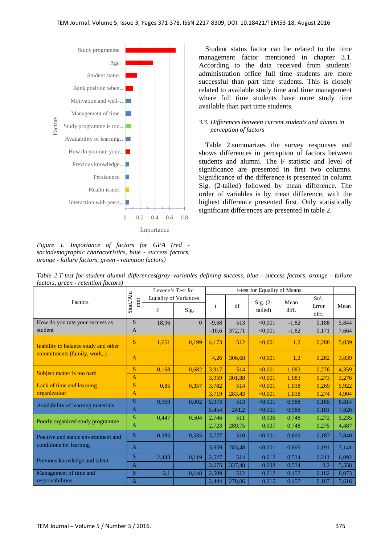

*Figure 1. Importance of factors for GPA (red sociodemographic characteristics, blue - success factors, orange - failure factors, green - retention factors)*

Student status factor can be related to the time management factor mentioned in chapter 3.1. According to the data received from students' administration office full time students are more successful than part time students. This is closely related to available study time and time management where full time students have more study time available than part time students.

#### *3.3. Differences between current students and alumni in perception of factors*

Table 2.summarizes the survey responses and shows differences in perception of factors between students and alumni. The F statistic and level of significance are presented in first two columns. Significance of the difference is presented in column Sig. (2-tailed) followed by mean difference. The order of variables is by mean difference, with the highest difference presented first. Only statistically significant differences are presented in table 2.

| factors, green - retention factors)                                  |                               |                              |          |                              |        |                       |               |       |       |
|----------------------------------------------------------------------|-------------------------------|------------------------------|----------|------------------------------|--------|-----------------------|---------------|-------|-------|
|                                                                      |                               | Levene's Test for            |          | t-test for Equality of Means |        |                       |               |       |       |
| Factors                                                              | Stud./Alu<br>$\rm \ddot{\rm}$ | <b>Equality of Variances</b> |          |                              |        |                       |               | Std.  |       |
|                                                                      |                               | F                            | Sig.     | t                            | df     | $Sig. (2-$<br>tailed) | Mean<br>diff. | Error | Mean  |
|                                                                      |                               |                              |          |                              |        |                       |               | diff. |       |
| How do you rate your success as                                      | S                             | 18,96                        | $\theta$ | $-9,68$                      | 513    | < 0,001               | $-1,82$       | 0,188 | 5,844 |
| student                                                              | $\overline{A}$                |                              |          | $-10,6$                      | 372,71 | < 0.001               | $-1,82$       | 0,171 | 7,664 |
| Inability to balance study and other<br>commitments (family, work,.) | S                             | 1,651                        | 0,199    | 4,173                        | 512    | < 0.001               | 1,2           | 0,288 | 5,039 |
|                                                                      | $\overline{A}$                |                              |          | 4,26                         | 306,68 | < 0.001               | 1,2           | 0,282 | 3,839 |
| Subject matter is too hard                                           | S                             | 0,168                        | 0,682    | 3,917                        | 514    | < 0,001               | 1,083         | 0,276 | 4,359 |
|                                                                      | $\overline{A}$                |                              |          | 3,959                        | 301,88 | < 0.001               | 1,083         | 0,273 | 3,276 |
| Lack of time and learning                                            | <sub>S</sub>                  | 0,85                         | 0,357    | 3,782                        | 514    | < 0.001               | 1,018         | 0,269 | 5,922 |
| organization                                                         | $\overline{A}$                |                              |          | 3,719                        | 283,43 | < 0.001               | 1,018         | 0,274 | 4,904 |
| Availability of learning materials                                   | <sub>S</sub>                  | 9,969                        | 0,002    | 5,973                        | 513    | < 0.001               | 0.988         | 0,165 | 8,814 |
|                                                                      | $\overline{A}$                |                              |          | 5,454                        | 241,2  | < 0.001               | 0.988         | 0,181 | 7,826 |
| Poorly organized study programme                                     | S                             | 0.447                        | 0.504    | 2,746                        | 511    | 0.006                 | 0.748         | 0,272 | 5,235 |
|                                                                      | $\overline{A}$                |                              |          | 2,723                        | 289,75 | 0,007                 | 0,748         | 0,275 | 4,487 |
| Positive and stable environment and<br>conditions for learning       | S                             | 0,385                        | 0,535    | 3,727                        | 510    | < 0.001               | 0,699         | 0,187 | 7,840 |
|                                                                      | $\overline{A}$                |                              |          | 3,659                        | 283,48 | < 0.001               | 0,699         | 0,191 | 7,141 |
| Previous knowledge and talent                                        | S.                            | 2,443                        | 0,119    | 2,527                        | 514    | 0,012                 | 0,534         | 0,211 | 6,092 |
|                                                                      | $\overline{A}$                |                              |          | 2,675                        | 337,48 | 0,008                 | 0,534         | 0,2   | 5,558 |
| Management of time and                                               | <sub>S</sub>                  | 2,1                          | 0,148    | 2,509                        | 512    | 0,012                 | 0,457         | 0,182 | 8,073 |
| responsibilities                                                     | $\mathbf{A}$                  |                              |          | 2,444                        | 278,06 | 0,015                 | 0,457         | 0,187 | 7,616 |

*Table 2.T-test for student alumni differences(gray–variables defining success, blue - success factors, orange - failure factors, green - retention factors)*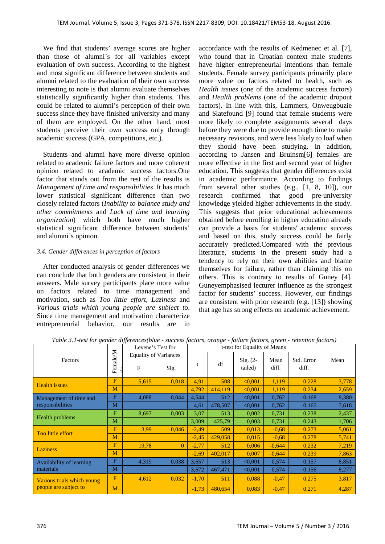We find that students' average scores are higher than those of alumni`s for all variables except evaluation of own success. According to the highest and most significant difference between students and alumni related to the evaluation of their own success interesting to note is that alumni evaluate themselves statistically significantly higher than students. This could be related to alumni's perception of their own success since they have finished university and many of them are employed. On the other hand, most students perceive their own success only through academic success (GPA, competitions, etc.).

Students and alumni have more diverse opinion related to academic failure factors and more coherent opinion related to academic success factors.One factor that stands out from the rest of the results is *Management of time and responsibilities*. It has much lower statistical significant difference than two closely related factors (*Inability to balance study and other commitments* and *Lack of time and learning organization*) which both have much higher statistical significant difference between students' and alumni's opinion.

#### *3.4. Gender differences in perception of factors*

After conducted analysis of gender differences we can conclude that both genders are consistent in their answers. Male survey participants place more value on factors related to time management and motivation, such as *Too little effort, Laziness* and *Various trials which young people are subject to*. Since time management and motivation characterize entrepreneurial behavior, our results are in accordance with the results of Kedmenec et al. [7], who found that in Croatian context male students have higher entrepreneurial intentions than female students. Female survey participants primarily place more value on factors related to health, such as *Health issues* (one of the academic success factors) and *Health problems* (one of the academic dropout factors). In line with this, Lammers, Onweugbuzie and Slatefound [9] found that female students were more likely to complete assignments several days before they were due to provide enough time to make necessary revisions, and were less likely to loaf when they should have been studying. In addition, according to Jansen and Bruinsm[6] females are more effective in the first and second year of higher education. This suggests that gender differences exist in academic performance. According to findings from several other studies (e.g., [1, 8, 10]), our research confirmed that good pre-university knowledge yielded higher achievements in the study. This suggests that prior educational achievements obtained before enrolling in higher education already can provide a basis for students' academic success and based on this, study success could be fairly accurately predicted.Compared with the previous literature, students in the present study had a tendency to rely on their own abilities and blame themselves for failure, rather than claiming this on others. This is contrary to results of Guney [4]. Guneyemphasised lecturer influence as the strongest factor for students' success. However, our findings are consistent with prior research (e.g. [13]) showing that age has strong effects on academic achievement.

|                                                     |            |                              | Tubic 9.1 hold for Schuch alfferences blue "success fucions, orange" future fucions, green "retention fucions) |                              |         |                       |               |            |       |
|-----------------------------------------------------|------------|------------------------------|----------------------------------------------------------------------------------------------------------------|------------------------------|---------|-----------------------|---------------|------------|-------|
|                                                     | Female/M   | Levene's Test for            |                                                                                                                | t-test for Equality of Means |         |                       |               |            |       |
| Factors                                             |            | <b>Equality of Variances</b> |                                                                                                                |                              |         |                       |               |            |       |
|                                                     |            |                              |                                                                                                                | t                            | df      | $Sig. (2-$<br>tailed) | Mean<br>diff. | Std. Error | Mean  |
|                                                     |            | F                            | Sig.                                                                                                           |                              |         |                       |               | diff.      |       |
| <b>Health</b> issues                                | F          | 5,615                        | 0,018                                                                                                          | 4,91                         | 508     | < 0.001               | 1,119         | 0,228      | 3,778 |
|                                                     | M          |                              |                                                                                                                | 4,792                        | 414,119 | < 0.001               | 1,119         | 0,234      | 2,659 |
| Management of time and<br>responsibilities          | $_{\rm F}$ | 4,088                        | 0,044                                                                                                          | 4,544                        | 512     | < 0.001               | 0,762         | 0,168      | 8,380 |
|                                                     | M          |                              |                                                                                                                | 4,61                         | 478,507 | < 0.001               | 0,762         | 0,165      | 7,618 |
| Health problems                                     | F          | 8,697                        | 0,003                                                                                                          | 3,07                         | 513     | 0,002                 | 0,731         | 0,238      | 2,437 |
|                                                     | M          |                              |                                                                                                                | 3,009                        | 425,79  | 0,003                 | 0,731         | 0,243      | 1,706 |
| Too little effort                                   | F          | 3.99                         | 0,046                                                                                                          | $-2,49$                      | 509     | 0,013                 | $-0,68$       | 0,273      | 5,061 |
|                                                     | M          |                              |                                                                                                                | $-2,45$                      | 429,058 | 0,015                 | $-0,68$       | 0,278      | 5,741 |
| <b>Laziness</b>                                     | F          | 19,78                        | $\theta$                                                                                                       | $-2,77$                      | 512     | 0.006                 | $-0,644$      | 0,232      | 7,219 |
|                                                     | M          |                              |                                                                                                                | $-2,69$                      | 402,017 | 0,007                 | $-0,644$      | 0,239      | 7,863 |
| Availability of learning<br>materials               | F          | 4,319                        | 0,038                                                                                                          | 3,657                        | 513     | < 0.001               | 0,574         | 0,157      | 8,851 |
|                                                     | M          |                              |                                                                                                                | 3,672                        | 467,471 | < 0.001               | 0,574         | 0,156      | 8,277 |
| Various trials which young<br>people are subject to | F          | 4,612                        | 0,032                                                                                                          | $-1,70$                      | 511     | 0.088                 | $-0,47$       | 0,275      | 3,817 |
|                                                     | M          |                              |                                                                                                                | $-1,73$                      | 480,654 | 0,083                 | $-0,47$       | 0,271      | 4,287 |

*Table 3.T-test for gender differences(blue - success factors, orange - failure factors, green - retention factors)*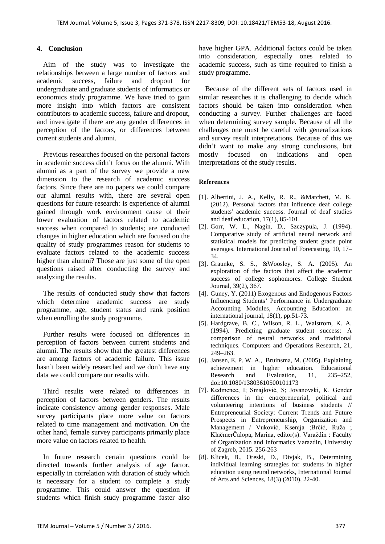#### **4. Conclusion**

Aim of the study was to investigate the relationships between a large number of factors and academic success, failure and dropout for undergraduate and graduate students of informatics or economics study programme. We have tried to gain more insight into which factors are consistent contributors to academic success, failure and dropout, and investigate if there are any gender differences in perception of the factors, or differences between current students and alumni.

Previous researches focused on the personal factors in academic success didn't focus on the alumni. With alumni as a part of the survey we provide a new dimension to the research of academic success factors. Since there are no papers we could compare our alumni results with, there are several open questions for future research: is experience of alumni gained through work environment cause of their lower evaluation of factors related to academic success when compared to students; are conducted changes in higher education which are focused on the quality of study programmes reason for students to evaluate factors related to the academic success higher than alumni? Those are just some of the open questions raised after conducting the survey and analyzing the results.

The results of conducted study show that factors which determine academic success are study programme, age, student status and rank position when enrolling the study programme.

Further results were focused on differences in perception of factors between current students and alumni. The results show that the greatest differences are among factors of academic failure. This issue hasn't been widely researched and we don't have any data we could compare our results with.

Third results were related to differences in perception of factors between genders. The results indicate consistency among gender responses. Male survey participants place more value on factors related to time management and motivation. On the other hand, female survey participants primarily place more value on factors related to health.

In future research certain questions could be directed towards further analysis of age factor, especially in correlation with duration of study which is necessary for a student to complete a study programme. This could answer the question if students which finish study programme faster also have higher GPA. Additional factors could be taken into consideration, especially ones related to academic success, such as time required to finish a study programme.

Because of the different sets of factors used in similar researches it is challenging to decide which factors should be taken into consideration when conducting a survey. Further challenges are faced when determining survey sample. Because of all the challenges one must be careful with generalizations and survey result interpretations. Because of this we didn't want to make any strong conclusions, but mostly focused on indications and open interpretations of the study results.

#### **References**

- [1]. Albertini, J. A., Kelly, R. R., &Matchett, M. K. (2012). Personal factors that influence deaf college students' academic success. Journal of deaf studies and deaf education, 17(1), 85-101.
- [2]. Gorr, W. L., Nagin, D., Szczypula, J. (1994). Comparative study of artificial neural network and statistical models for predicting student grade point averages. International Journal of Forecasting, 10, 17– 34.
- [3]. Graunke, S. S., &Woosley, S. A. (2005). An exploration of the factors that affect the academic success of college sophomores. College Student Journal, 39(2), 367.
- [4]. Guney, Y. (2011) Exogenous and Endogenous Factors Influencing Students' Performance in Undergraduate Accounting Modules, Accounting Education: an international journal, 18(1), pp.51-73.
- [5]. Hardgrave, B. C., Wilson, R. L., Walstrom, K. A. (1994). Predicting graduate student success: A comparison of neural networks and traditional techniques. Computers and Operations Research, 21, 249–263.
- [6]. Jansen, E. P. W. A., Bruinsma, M. (2005). Explaining achievement in higher education. Educational Research and Evaluation, 11, 235–252, doi:10.1080/13803610500101173
- [7]. Kedmenec, I; Smajlović, S; Jovanovski, K. Gender differences in the entrepreneurial, political and volunteering intentions of business students // Entrepreneurial Society: Current Trends and Future Prospects in Entrepreneurship, Organization and Management / Vuković, Ksenija ;Brčić, Ruža ; KlačmerČalopa, Marina, editor(s). Varaždin : Faculty of Organization and Informatics Varazdin, University of Zagreb, 2015. 256-263
- [8]. Klicek, B., Oreski, D., Divjak, B., Determining individual learning strategies for students in higher education using neural networks, International Journal of Arts and Sciences, 18(3) (2010), 22-40.